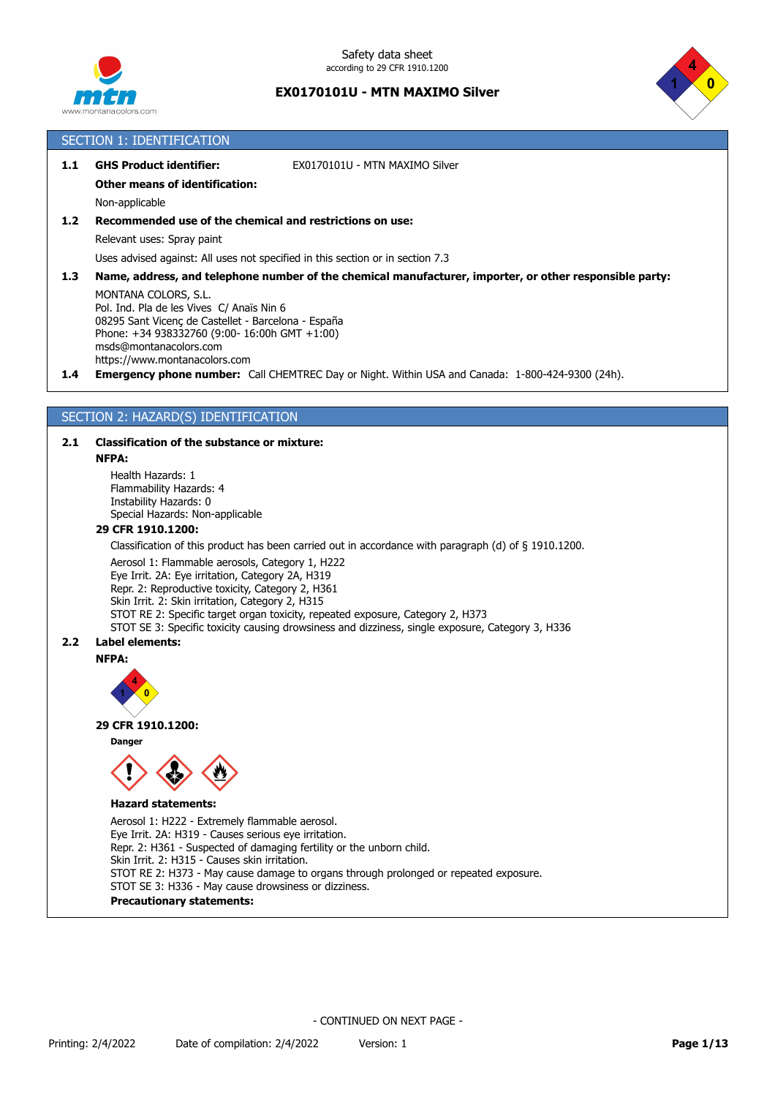



|       | <b>SECTION 1: IDENTIFICATION</b>                                                                                                                                                                                                                                                                                                                |
|-------|-------------------------------------------------------------------------------------------------------------------------------------------------------------------------------------------------------------------------------------------------------------------------------------------------------------------------------------------------|
| 1.1   | <b>GHS Product identifier:</b><br>EX0170101U - MTN MAXIMO Silver                                                                                                                                                                                                                                                                                |
|       | <b>Other means of identification:</b>                                                                                                                                                                                                                                                                                                           |
|       | Non-applicable                                                                                                                                                                                                                                                                                                                                  |
| $1.2$ | Recommended use of the chemical and restrictions on use:                                                                                                                                                                                                                                                                                        |
|       | Relevant uses: Spray paint                                                                                                                                                                                                                                                                                                                      |
|       | Uses advised against: All uses not specified in this section or in section 7.3                                                                                                                                                                                                                                                                  |
| 1.3   | Name, address, and telephone number of the chemical manufacturer, importer, or other responsible party:                                                                                                                                                                                                                                         |
| 1.4   | MONTANA COLORS, S.L.<br>Pol. Ind. Pla de les Vives C/ Anaïs Nin 6<br>08295 Sant Vicenc de Castellet - Barcelona - España<br>Phone: +34 938332760 (9:00- 16:00h GMT +1:00)<br>msds@montanacolors.com<br>https://www.montanacolors.com<br><b>Emergency phone number:</b> Call CHEMTREC Day or Night. Within USA and Canada: 1-800-424-9300 (24h). |
|       |                                                                                                                                                                                                                                                                                                                                                 |
|       | SECTION 2: HAZARD(S) IDENTIFICATION                                                                                                                                                                                                                                                                                                             |
|       |                                                                                                                                                                                                                                                                                                                                                 |
| 2.1   | <b>Classification of the substance or mixture:</b>                                                                                                                                                                                                                                                                                              |
|       | <b>NFPA:</b>                                                                                                                                                                                                                                                                                                                                    |
|       | Health Hazards: 1<br>Flammability Hazards: 4<br>Instability Hazards: 0<br>Special Hazards: Non-applicable                                                                                                                                                                                                                                       |
|       | 29 CFR 1910.1200:                                                                                                                                                                                                                                                                                                                               |
|       | Classification of this product has been carried out in accordance with paragraph $(d)$ of $\xi$ 1910.1200.                                                                                                                                                                                                                                      |
|       | Aerosol 1: Flammable aerosols, Category 1, H222<br>Eye Irrit. 2A: Eye irritation, Category 2A, H319<br>Danii Di Danii diistiin tariistiin Cataanii D. 11964                                                                                                                                                                                     |

Repr. 2: Reproductive toxicity, Category 2, H361 Skin Irrit. 2: Skin irritation, Category 2, H315 STOT RE 2: Specific target organ toxicity, repeated exposure, Category 2, H373 STOT SE 3: Specific toxicity causing drowsiness and dizziness, single exposure, Category 3, H336

## **2.2 Label elements:**

**NFPA:**



### **29 CFR 1910.1200:**

**Danger**



## **Hazard statements:**

Aerosol 1: H222 - Extremely flammable aerosol. Eye Irrit. 2A: H319 - Causes serious eye irritation. Repr. 2: H361 - Suspected of damaging fertility or the unborn child. Skin Irrit. 2: H315 - Causes skin irritation. STOT RE 2: H373 - May cause damage to organs through prolonged or repeated exposure. STOT SE 3: H336 - May cause drowsiness or dizziness. **Precautionary statements:**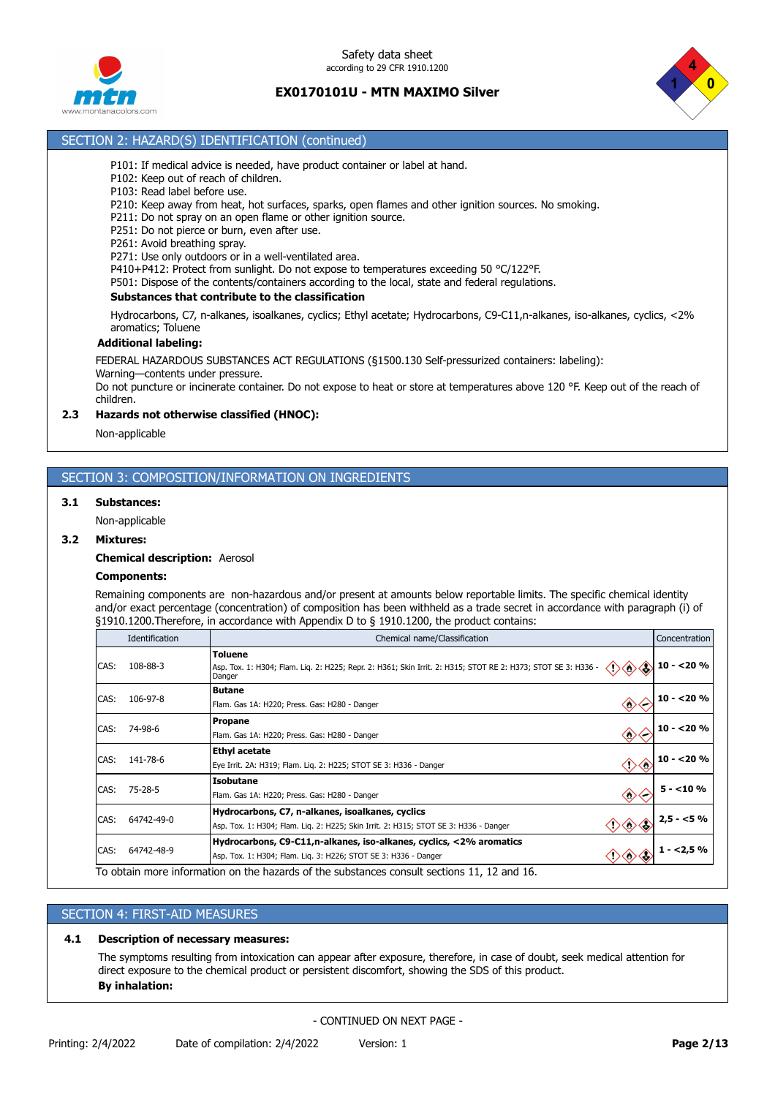

Safety data sheet according to 29 CFR 1910.1200

## **EX0170101U - MTN MAXIMO Silver**



## SECTION 2: HAZARD(S) IDENTIFICATION (continued)

- P101: If medical advice is needed, have product container or label at hand.
- P102: Keep out of reach of children.
- P103: Read label before use.
- P210: Keep away from heat, hot surfaces, sparks, open flames and other ignition sources. No smoking.
- P211: Do not spray on an open flame or other ignition source.
- P251: Do not pierce or burn, even after use.
- P261: Avoid breathing spray.

P271: Use only outdoors or in a well-ventilated area.

P410+P412: Protect from sunlight. Do not expose to temperatures exceeding 50 °C/122°F.

P501: Dispose of the contents/containers according to the local, state and federal regulations.

#### **Substances that contribute to the classification**

Hydrocarbons, C7, n-alkanes, isoalkanes, cyclics; Ethyl acetate; Hydrocarbons, C9-C11,n-alkanes, iso-alkanes, cyclics, <2% aromatics; Toluene

#### **Additional labeling:**

FEDERAL HAZARDOUS SUBSTANCES ACT REGULATIONS (§1500.130 Self-pressurized containers: labeling):

Warning—contents under pressure.

Do not puncture or incinerate container. Do not expose to heat or store at temperatures above 120 °F. Keep out of the reach of children.

### **2.3 Hazards not otherwise classified (HNOC):**

Non-applicable

## SECTION 3: COMPOSITION/INFORMATION ON INGREDIENTS

### **3.1 Substances:**

Non-applicable

#### **3.2 Mixtures:**

#### **Chemical description:** Aerosol

### **Components:**

Remaining components are non-hazardous and/or present at amounts below reportable limits. The specific chemical identity and/or exact percentage (concentration) of composition has been withheld as a trade secret in accordance with paragraph (i) of §1910.1200.Therefore, in accordance with Appendix D to § 1910.1200, the product contains:

|      | Identification                                                                                                                                                                         | Chemical name/Classification                                                                                                                     | Concentration |
|------|----------------------------------------------------------------------------------------------------------------------------------------------------------------------------------------|--------------------------------------------------------------------------------------------------------------------------------------------------|---------------|
| CAS: | 108-88-3                                                                                                                                                                               | <b>Toluene</b><br>Asp. Tox. 1: H304; Flam. Lig. 2: H225; Repr. 2: H361; Skin Irrit. 2: H315; STOT RE 2: H373; STOT SE 3: H336 -<br>◇◇◇<br>Danger | $10 - 20%$    |
| CAS: | 106-97-8                                                                                                                                                                               | <b>Butane</b><br>◇<br>Flam. Gas 1A: H220; Press. Gas: H280 - Danger                                                                              | $10 - 20%$    |
| CAS: | 74-98-6                                                                                                                                                                                | <b>Propane</b><br>$\langle \rangle$<br>Flam. Gas 1A: H220; Press. Gas: H280 - Danger                                                             | $10 - 20%$    |
| CAS: | 141-78-6                                                                                                                                                                               | <b>Ethyl acetate</b><br>◆◆<br>Eye Irrit. 2A: H319; Flam. Lig. 2: H225; STOT SE 3: H336 - Danger                                                  | $10 - 20%$    |
| CAS: | <b>Isobutane</b><br>75-28-5<br>$\diamondsuit$<br>Flam. Gas 1A: H220; Press. Gas: H280 - Danger                                                                                         |                                                                                                                                                  | $5 - 10%$     |
| CAS: | Hydrocarbons, C7, n-alkanes, isoalkanes, cyclics<br>64742-49-0<br>$\Diamond \Diamond \Diamond$<br>Asp. Tox. 1: H304; Flam. Liq. 2: H225; Skin Irrit. 2: H315; STOT SE 3: H336 - Danger |                                                                                                                                                  | $2,5 - 5%$    |
| CAS: | 64742-48-9                                                                                                                                                                             | Hydrocarbons, C9-C11,n-alkanes, iso-alkanes, cyclics, <2% aromatics<br>《めふ》<br>Asp. Tox. 1: H304; Flam. Liq. 3: H226; STOT SE 3: H336 - Danger   | $1 - 2,5%$    |
|      |                                                                                                                                                                                        | To obtain more information on the hazards of the substances consult sections 11, 12 and 16.                                                      |               |

### SECTION 4: FIRST-AID MEASURES

#### **4.1 Description of necessary measures:**

The symptoms resulting from intoxication can appear after exposure, therefore, in case of doubt, seek medical attention for direct exposure to the chemical product or persistent discomfort, showing the SDS of this product. **By inhalation:**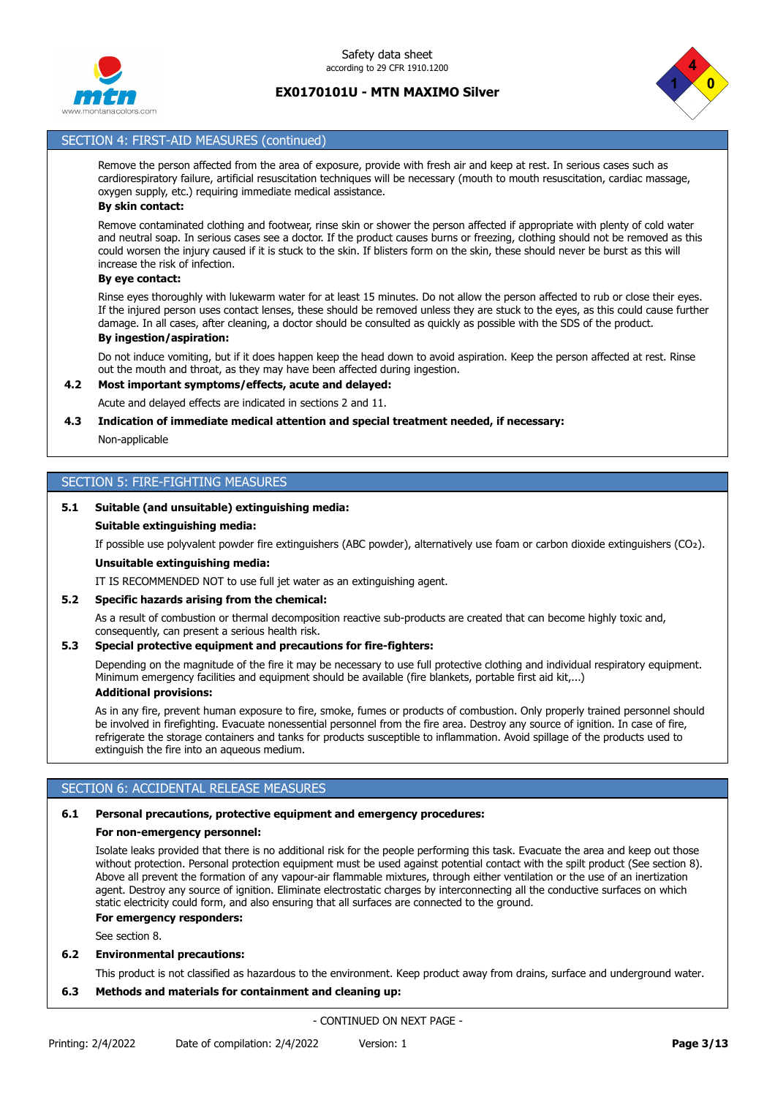



## SECTION 4: FIRST-AID MEASURES (continued)

Remove the person affected from the area of exposure, provide with fresh air and keep at rest. In serious cases such as cardiorespiratory failure, artificial resuscitation techniques will be necessary (mouth to mouth resuscitation, cardiac massage, oxygen supply, etc.) requiring immediate medical assistance.

## **By skin contact:**

Remove contaminated clothing and footwear, rinse skin or shower the person affected if appropriate with plenty of cold water and neutral soap. In serious cases see a doctor. If the product causes burns or freezing, clothing should not be removed as this could worsen the injury caused if it is stuck to the skin. If blisters form on the skin, these should never be burst as this will increase the risk of infection.

## **By eye contact:**

Rinse eyes thoroughly with lukewarm water for at least 15 minutes. Do not allow the person affected to rub or close their eyes. If the injured person uses contact lenses, these should be removed unless they are stuck to the eyes, as this could cause further damage. In all cases, after cleaning, a doctor should be consulted as quickly as possible with the SDS of the product. **By ingestion/aspiration:**

Do not induce vomiting, but if it does happen keep the head down to avoid aspiration. Keep the person affected at rest. Rinse out the mouth and throat, as they may have been affected during ingestion.

## **4.2 Most important symptoms/effects, acute and delayed:**

Acute and delayed effects are indicated in sections 2 and 11.

### **4.3 Indication of immediate medical attention and special treatment needed, if necessary:**

Non-applicable

## SECTION 5: FIRE-FIGHTING MEASURES

### **5.1 Suitable (and unsuitable) extinguishing media:**

#### **Suitable extinguishing media:**

If possible use polyvalent powder fire extinguishers (ABC powder), alternatively use foam or carbon dioxide extinguishers (CO₂).

### **Unsuitable extinguishing media:**

IT IS RECOMMENDED NOT to use full jet water as an extinguishing agent.

### **5.2 Specific hazards arising from the chemical:**

As a result of combustion or thermal decomposition reactive sub-products are created that can become highly toxic and, consequently, can present a serious health risk.

#### **5.3 Special protective equipment and precautions for fire-fighters:**

Depending on the magnitude of the fire it may be necessary to use full protective clothing and individual respiratory equipment. Minimum emergency facilities and equipment should be available (fire blankets, portable first aid kit,...) **Additional provisions:**

As in any fire, prevent human exposure to fire, smoke, fumes or products of combustion. Only properly trained personnel should be involved in firefighting. Evacuate nonessential personnel from the fire area. Destroy any source of ignition. In case of fire, refrigerate the storage containers and tanks for products susceptible to inflammation. Avoid spillage of the products used to extinguish the fire into an aqueous medium.

### SECTION 6: ACCIDENTAL RELEASE MEASURES

## **6.1 Personal precautions, protective equipment and emergency procedures:**

## **For non-emergency personnel:**

Isolate leaks provided that there is no additional risk for the people performing this task. Evacuate the area and keep out those without protection. Personal protection equipment must be used against potential contact with the spilt product (See section 8). Above all prevent the formation of any vapour-air flammable mixtures, through either ventilation or the use of an inertization agent. Destroy any source of ignition. Eliminate electrostatic charges by interconnecting all the conductive surfaces on which static electricity could form, and also ensuring that all surfaces are connected to the ground.

## **For emergency responders:**

See section 8.

### **6.2 Environmental precautions:**

This product is not classified as hazardous to the environment. Keep product away from drains, surface and underground water.

## **6.3 Methods and materials for containment and cleaning up:**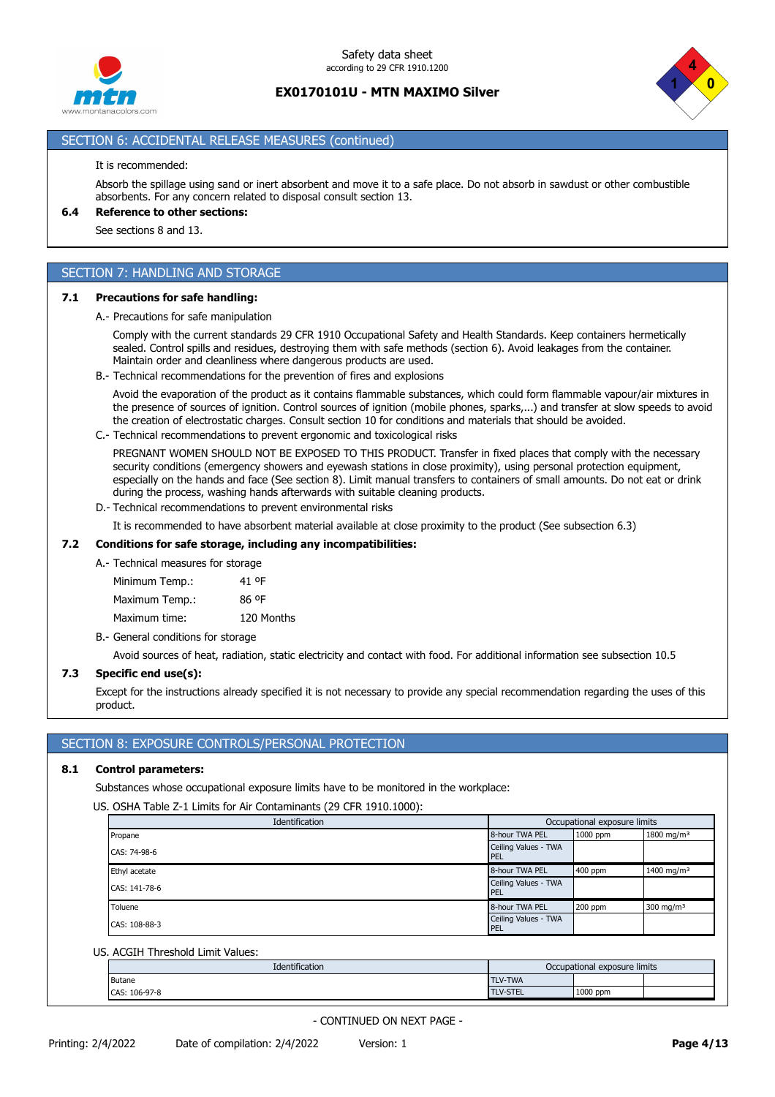



## SECTION 6: ACCIDENTAL RELEASE MEASURES (continued)

#### It is recommended:

Absorb the spillage using sand or inert absorbent and move it to a safe place. Do not absorb in sawdust or other combustible absorbents. For any concern related to disposal consult section 13.

### **6.4 Reference to other sections:**

See sections 8 and 13.

## SECTION 7: HANDLING AND STORAGE

#### **7.1 Precautions for safe handling:**

A.- Precautions for safe manipulation

Comply with the current standards 29 CFR 1910 Occupational Safety and Health Standards. Keep containers hermetically sealed. Control spills and residues, destroying them with safe methods (section 6). Avoid leakages from the container. Maintain order and cleanliness where dangerous products are used.

B.- Technical recommendations for the prevention of fires and explosions

Avoid the evaporation of the product as it contains flammable substances, which could form flammable vapour/air mixtures in the presence of sources of ignition. Control sources of ignition (mobile phones, sparks,...) and transfer at slow speeds to avoid the creation of electrostatic charges. Consult section 10 for conditions and materials that should be avoided.

C.- Technical recommendations to prevent ergonomic and toxicological risks

PREGNANT WOMEN SHOULD NOT BE EXPOSED TO THIS PRODUCT. Transfer in fixed places that comply with the necessary security conditions (emergency showers and eyewash stations in close proximity), using personal protection equipment, especially on the hands and face (See section 8). Limit manual transfers to containers of small amounts. Do not eat or drink during the process, washing hands afterwards with suitable cleaning products.

D.- Technical recommendations to prevent environmental risks

It is recommended to have absorbent material available at close proximity to the product (See subsection 6.3)

### **7.2 Conditions for safe storage, including any incompatibilities:**

## A.- Technical measures for storage

Minimum Temp.: 41 ºF Maximum Temp.: 86 ºF Maximum time: 120 Months

B.- General conditions for storage

Avoid sources of heat, radiation, static electricity and contact with food. For additional information see subsection 10.5

#### **7.3 Specific end use(s):**

Except for the instructions already specified it is not necessary to provide any special recommendation regarding the uses of this product.

### SECTION 8: EXPOSURE CONTROLS/PERSONAL PROTECTION

### **8.1 Control parameters:**

Substances whose occupational exposure limits have to be monitored in the workplace:

US. OSHA Table Z-1 Limits for Air Contaminants (29 CFR 1910.1000):

| Identification | Occupational exposure limits |          |                        |
|----------------|------------------------------|----------|------------------------|
| Propane        | 8-hour TWA PEL               | 1000 ppm | 1800 mg/m <sup>3</sup> |
| CAS: 74-98-6   | Ceiling Values - TWA<br>PEL  |          |                        |
| Ethyl acetate  | 8-hour TWA PEL               | 400 ppm  | 1400 mg/m <sup>3</sup> |
| CAS: 141-78-6  | Ceiling Values - TWA<br>PEL  |          |                        |
| Toluene        | 8-hour TWA PEL               | 200 ppm  | 300 mg/m $3$           |
| CAS: 108-88-3  | Ceiling Values - TWA<br>PEL  |          |                        |

#### US. ACGIH Threshold Limit Values:

| Identification | Occupational exposure limits |          |  |
|----------------|------------------------------|----------|--|
| Butane         | <b>TLV-TWA</b>               |          |  |
| CAS: 106-97-8  | <b>TLV-STEL</b>              | 1000 ppm |  |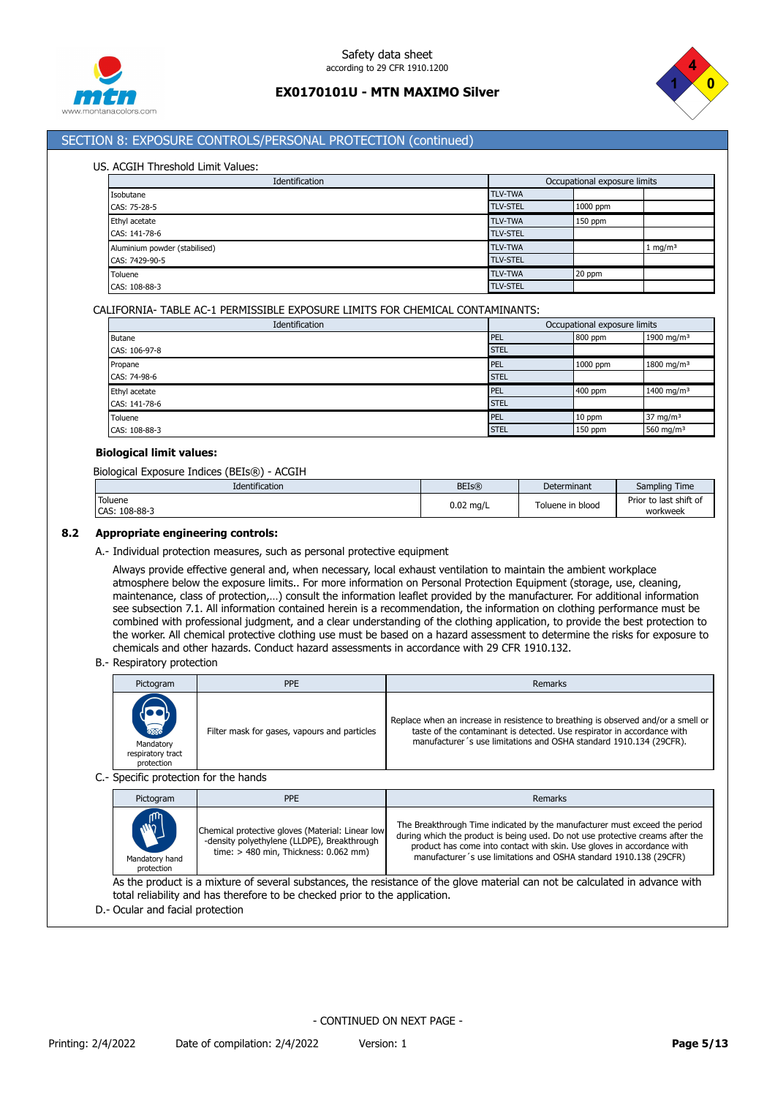



## SECTION 8: EXPOSURE CONTROLS/PERSONAL PROTECTION (continued)

#### US. ACGIH Threshold Limit Values:

| Identification                |  | Occupational exposure limits |           |                    |
|-------------------------------|--|------------------------------|-----------|--------------------|
| Isobutane                     |  | <b>TLV-TWA</b>               |           |                    |
| CAS: 75-28-5                  |  | <b>TLV-STEL</b>              | 1000 ppm  |                    |
| Ethyl acetate                 |  | <b>TLV-TWA</b>               | $150$ ppm |                    |
| CAS: 141-78-6                 |  | <b>TLV-STEL</b>              |           |                    |
| Aluminium powder (stabilised) |  | <b>TLV-TWA</b>               |           | $1 \text{ mg/m}^3$ |
| CAS: 7429-90-5                |  | <b>TLV-STEL</b>              |           |                    |
| Toluene                       |  | <b>TLV-TWA</b>               | 20 ppm    |                    |
| CAS: 108-88-3                 |  | <b>TLV-STEL</b>              |           |                    |

### CALIFORNIA- TABLE AC-1 PERMISSIBLE EXPOSURE LIMITS FOR CHEMICAL CONTAMINANTS:

| Identification | Occupational exposure limits |          |                        |  |
|----------------|------------------------------|----------|------------------------|--|
| <b>Butane</b>  | <b>PEL</b>                   | 800 ppm  | 1900 mg/m <sup>3</sup> |  |
| CAS: 106-97-8  | <b>STEL</b>                  |          |                        |  |
| Propane        | PEL                          | 1000 ppm | 1800 mg/m <sup>3</sup> |  |
| CAS: 74-98-6   | <b>STEL</b>                  |          |                        |  |
| Ethyl acetate  | PEL                          | 400 ppm  | 1400 mg/m <sup>3</sup> |  |
| CAS: 141-78-6  | <b>STEL</b>                  |          |                        |  |
| Toluene        | PEL                          | 10 ppm   | $37 \text{ mg/m}^3$    |  |
| CAS: 108-88-3  | <b>STEL</b>                  | 150 ppm  | 560 mg/m <sup>3</sup>  |  |

### **Biological limit values:**

Biological Exposure Indices (BEIs®) - ACGIH

| Identification           | <b>BEIs®</b> | Determinant      | Sampling Time                      |
|--------------------------|--------------|------------------|------------------------------------|
| Toluene<br>CAS: 108-88-3 | $0.02$ mg/L  | Toluene in blood | Prior to last shift of<br>workweek |

#### **8.2 Appropriate engineering controls:**

A.- Individual protection measures, such as personal protective equipment

Always provide effective general and, when necessary, local exhaust ventilation to maintain the ambient workplace atmosphere below the exposure limits.. For more information on Personal Protection Equipment (storage, use, cleaning, maintenance, class of protection,…) consult the information leaflet provided by the manufacturer. For additional information see subsection 7.1. All information contained herein is a recommendation, the information on clothing performance must be combined with professional judgment, and a clear understanding of the clothing application, to provide the best protection to the worker. All chemical protective clothing use must be based on a hazard assessment to determine the risks for exposure to chemicals and other hazards. Conduct hazard assessments in accordance with 29 CFR 1910.132.

B.- Respiratory protection

| Pictogram                                                   | <b>PPE</b>                                   | Remarks                                                                                                                                                                                                                            |  |  |  |
|-------------------------------------------------------------|----------------------------------------------|------------------------------------------------------------------------------------------------------------------------------------------------------------------------------------------------------------------------------------|--|--|--|
| <b>READ</b><br>Mandatory<br>respiratory tract<br>protection | Filter mask for gases, vapours and particles | Replace when an increase in resistence to breathing is observed and/or a smell or<br>taste of the contaminant is detected. Use respirator in accordance with<br>manufacturer's use limitations and OSHA standard 1910.134 (29CFR). |  |  |  |
| CanadGa anata attaw Can this handala                        |                                              |                                                                                                                                                                                                                                    |  |  |  |

#### C.- Specific protection for the hands

| Pictogram                                                                                                               | <b>PPE</b>                                                                                                                                 | Remarks                                                                                                                                                                                                                                                                                                     |  |  |
|-------------------------------------------------------------------------------------------------------------------------|--------------------------------------------------------------------------------------------------------------------------------------------|-------------------------------------------------------------------------------------------------------------------------------------------------------------------------------------------------------------------------------------------------------------------------------------------------------------|--|--|
| <b>MAN</b><br>Mandatory hand<br>protection                                                                              | Chemical protective gloves (Material: Linear low<br>-density polyethylene (LLDPE), Breakthrough<br>time: $> 480$ min, Thickness: 0.062 mm) | The Breakthrough Time indicated by the manufacturer must exceed the period<br>during which the product is being used. Do not use protective creams after the<br>product has come into contact with skin. Use gloves in accordance with<br>manufacturer's use limitations and OSHA standard 1910.138 (29CFR) |  |  |
| As the second to a set them of account additional the meetinger of the share meetings and he selected to address cottle |                                                                                                                                            |                                                                                                                                                                                                                                                                                                             |  |  |

As the product is a mixture of several substances, the resistance of the glove material can not be calculated in advance with total reliability and has therefore to be checked prior to the application.

D.- Ocular and facial protection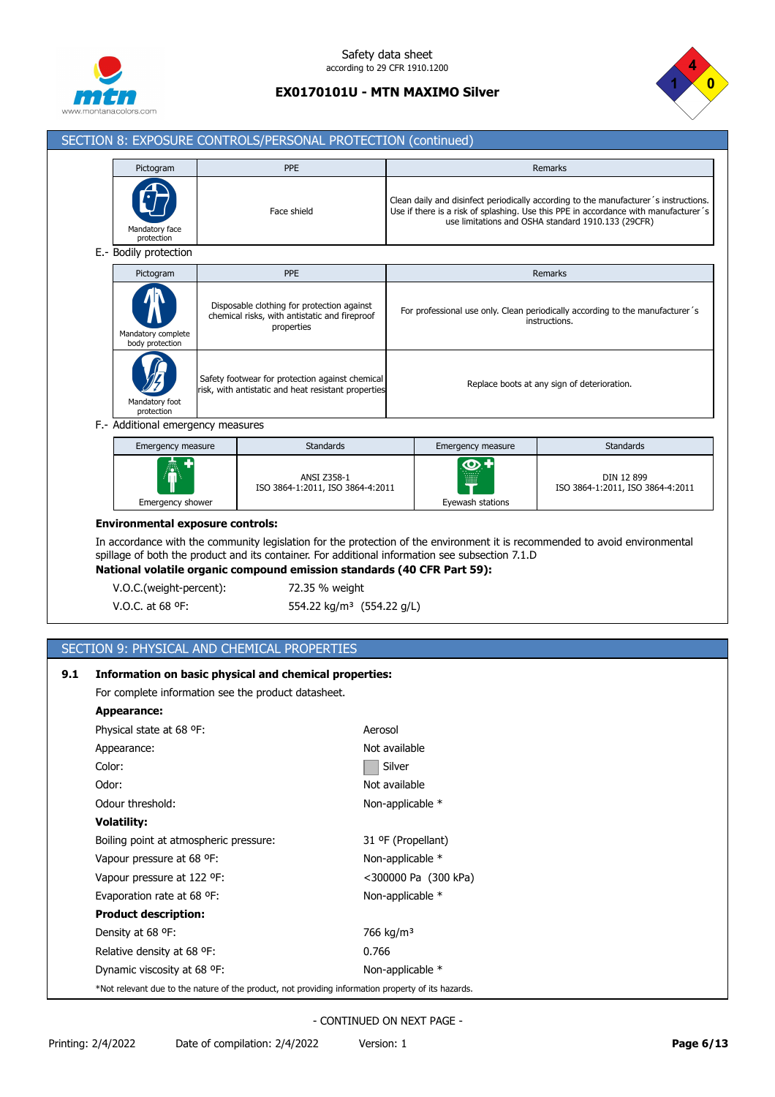



ISO 3864-1:2011, ISO 3864-4:2011

# SECTION 8: EXPOSURE CONTROLS/PERSONAL PROTECTION (continued) Pictogram Photo and PPE Remarks and PPE Remarks and Proposition of the Proposition of the Remarks A

| Mandatory face<br>protection          | Face shield                                                                                               |                   | Clean daily and disinfect periodically according to the manufacturer's instructions.<br>Use if there is a risk of splashing. Use this PPE in accordance with manufacturer's<br>use limitations and OSHA standard 1910.133 (29CFR) |
|---------------------------------------|-----------------------------------------------------------------------------------------------------------|-------------------|-----------------------------------------------------------------------------------------------------------------------------------------------------------------------------------------------------------------------------------|
| E.- Bodily protection                 |                                                                                                           |                   |                                                                                                                                                                                                                                   |
| Pictogram                             | PPE                                                                                                       |                   | <b>Remarks</b>                                                                                                                                                                                                                    |
| Mandatory complete<br>body protection | Disposable clothing for protection against<br>chemical risks, with antistatic and fireproof<br>properties |                   | For professional use only. Clean periodically according to the manufacturer's<br>instructions.                                                                                                                                    |
| Mandatory foot<br>protection          | Safety footwear for protection against chemical<br>risk, with antistatic and heat resistant properties    |                   | Replace boots at any sign of deterioration.                                                                                                                                                                                       |
| F.- Additional emergency measures     |                                                                                                           |                   |                                                                                                                                                                                                                                   |
| Emergency measure                     | <b>Standards</b>                                                                                          | Emergency measure | <b>Standards</b>                                                                                                                                                                                                                  |
|                                       | ANSI Z358-1                                                                                               |                   | DIN 12 899                                                                                                                                                                                                                        |

## **Environmental exposure controls:**

Emergency shower

In accordance with the community legislation for the protection of the environment it is recommended to avoid environmental spillage of both the product and its container. For additional information see subsection 7.1.D

Eyewash stations

**National volatile organic compound emission standards (40 CFR Part 59):**

ISO 3864-1:2011, ISO 3864-4:2011

V.O.C.(weight-percent): 72.35 % weight

V.O.C. at 68 °F: 554.22 kg/m<sup>3</sup> (554.22 g/L)

## SECTION 9: PHYSICAL AND CHEMICAL PROPERTIES

## **9.1 Information on basic physical and chemical properties:**

For complete information see the product datasheet.

| <b>Appearance:</b>                                                                                 |                       |  |  |  |
|----------------------------------------------------------------------------------------------------|-----------------------|--|--|--|
| Physical state at 68 °F.                                                                           | Aerosol               |  |  |  |
| Appearance:                                                                                        | Not available         |  |  |  |
| Color:                                                                                             | Silver                |  |  |  |
| Odor:                                                                                              | Not available         |  |  |  |
| Odour threshold:                                                                                   | Non-applicable *      |  |  |  |
| Volatility:                                                                                        |                       |  |  |  |
| Boiling point at atmospheric pressure:                                                             | 31 ºF (Propellant)    |  |  |  |
| Vapour pressure at 68 °F:                                                                          | Non-applicable *      |  |  |  |
| Vapour pressure at 122 °F:                                                                         | <300000 Pa (300 kPa)  |  |  |  |
| Evaporation rate at 68 °F:                                                                         | Non-applicable *      |  |  |  |
| <b>Product description:</b>                                                                        |                       |  |  |  |
| Density at 68 °F:                                                                                  | 766 kg/m <sup>3</sup> |  |  |  |
| Relative density at 68 °F:                                                                         | 0.766                 |  |  |  |
| Dynamic viscosity at 68 °F:                                                                        | Non-applicable *      |  |  |  |
| *Not relevant due to the nature of the product, not providing information property of its hazards. |                       |  |  |  |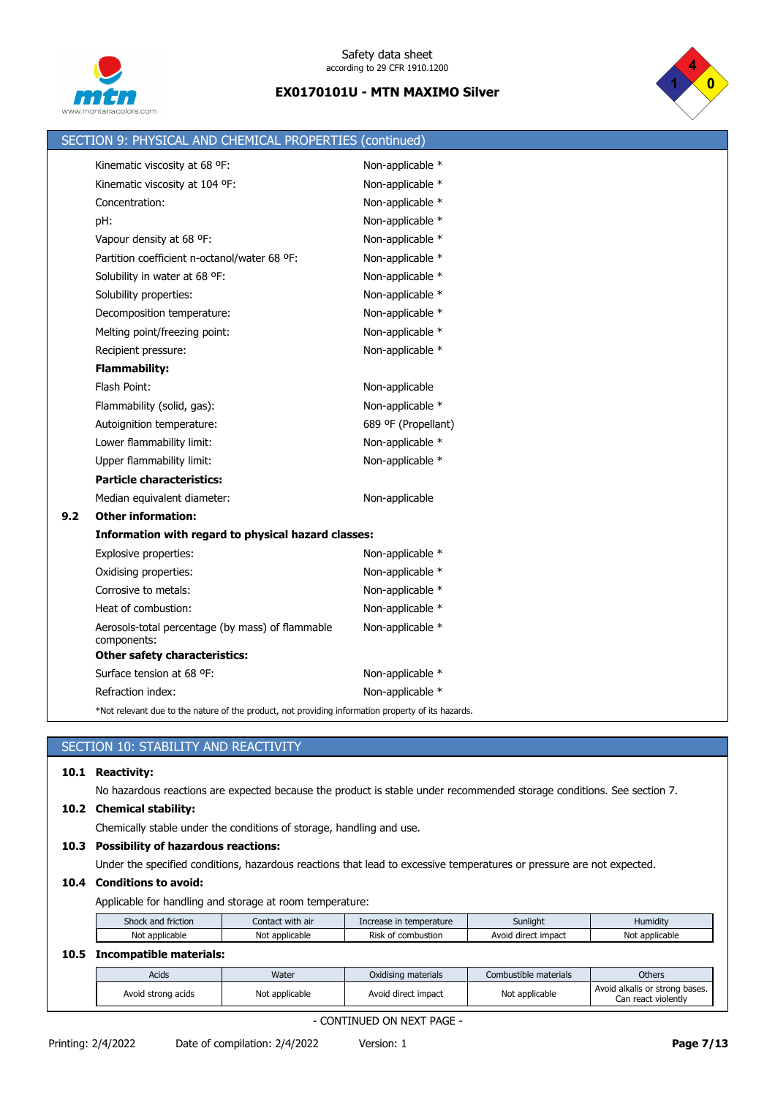



|     | SECTION 9: PHYSICAL AND CHEMICAL PROPERTIES (continued)                                            |                     |
|-----|----------------------------------------------------------------------------------------------------|---------------------|
|     | Kinematic viscosity at 68 °F:                                                                      | Non-applicable *    |
|     | Kinematic viscosity at 104 °F:                                                                     | Non-applicable *    |
|     | Concentration:                                                                                     | Non-applicable *    |
|     | pH:                                                                                                | Non-applicable *    |
|     | Vapour density at 68 °F:                                                                           | Non-applicable *    |
|     | Partition coefficient n-octanol/water 68 °F:                                                       | Non-applicable *    |
|     | Solubility in water at 68 °F:                                                                      | Non-applicable *    |
|     | Solubility properties:                                                                             | Non-applicable *    |
|     | Decomposition temperature:                                                                         | Non-applicable *    |
|     | Melting point/freezing point:                                                                      | Non-applicable *    |
|     | Recipient pressure:                                                                                | Non-applicable *    |
|     | <b>Flammability:</b>                                                                               |                     |
|     | Flash Point:                                                                                       | Non-applicable      |
|     | Flammability (solid, gas):                                                                         | Non-applicable *    |
|     | Autoignition temperature:                                                                          | 689 ºF (Propellant) |
|     | Lower flammability limit:                                                                          | Non-applicable *    |
|     | Upper flammability limit:                                                                          | Non-applicable *    |
|     | <b>Particle characteristics:</b>                                                                   |                     |
|     | Median equivalent diameter:                                                                        | Non-applicable      |
| 9.2 | <b>Other information:</b>                                                                          |                     |
|     | Information with regard to physical hazard classes:                                                |                     |
|     | Explosive properties:                                                                              | Non-applicable *    |
|     | Oxidising properties:                                                                              | Non-applicable *    |
|     | Corrosive to metals:                                                                               | Non-applicable *    |
|     | Heat of combustion:                                                                                | Non-applicable *    |
|     | Aerosols-total percentage (by mass) of flammable<br>components:                                    | Non-applicable *    |
|     | <b>Other safety characteristics:</b>                                                               |                     |
|     | Surface tension at 68 °F:                                                                          | Non-applicable *    |
|     | Refraction index:                                                                                  | Non-applicable *    |
|     | *Not relevant due to the nature of the product, not providing information property of its hazards. |                     |

## SECTION 10: STABILITY AND REACTIVITY

## **10.1 Reactivity:**

No hazardous reactions are expected because the product is stable under recommended storage conditions. See section 7.

## **10.2 Chemical stability:**

Chemically stable under the conditions of storage, handling and use.

## **10.3 Possibility of hazardous reactions:**

Under the specified conditions, hazardous reactions that lead to excessive temperatures or pressure are not expected.

## **10.4 Conditions to avoid:**

Applicable for handling and storage at room temperature:

| Shock and<br>$  -$<br>friction | with air<br>Contac | Increase in temperature           | Sunliaht                    | 1.1.<br>$\cdot$ $\cdot$ $\cdot$<br><b>Humidity</b> |
|--------------------------------|--------------------|-----------------------------------|-----------------------------|----------------------------------------------------|
| No<br>applicable               | Not<br>applicable  | combustion<br>Risk<br>$^{\prime}$ | impact<br>J direct<br>Avoid | Not<br>applicable <sup>.</sup>                     |

## **10.5 Incompatible materials:**

| Acids              | Water          | Oxidising materials | Combustible materials | <b>Others</b>                                         |
|--------------------|----------------|---------------------|-----------------------|-------------------------------------------------------|
| Avoid strong acids | Not applicable | Avoid direct impact | Not applicable        | Avoid alkalis or strong bases.<br>Can react violently |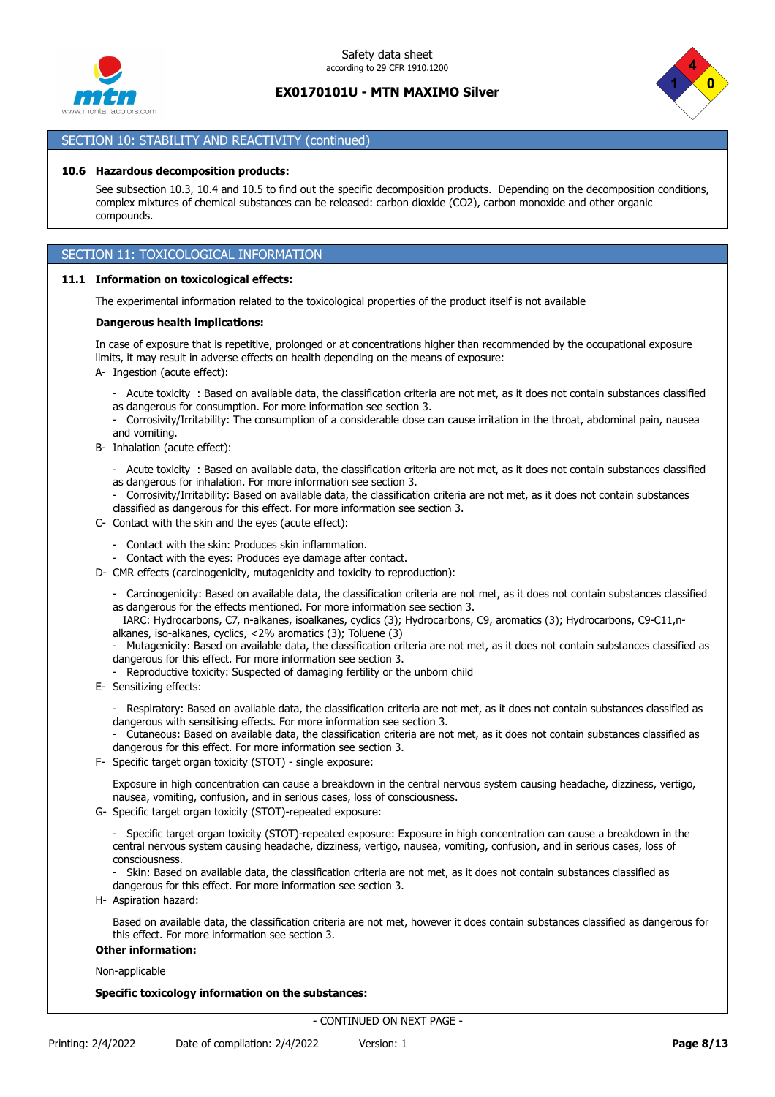



Can react violently

## SECTION 10: STABILITY AND REACTIVITY (continued)

### **10.6 Hazardous decomposition products:**

See subsection 10.3, 10.4 and 10.5 to find out the specific decomposition products. Depending on the decomposition conditions, complex mixtures of chemical substances can be released: carbon dioxide (CO2), carbon monoxide and other organic compounds.

## SECTION 11: TOXICOLOGICAL INFORMATION

### **11.1 Information on toxicological effects:**

The experimental information related to the toxicological properties of the product itself is not available

#### **Dangerous health implications:**

In case of exposure that is repetitive, prolonged or at concentrations higher than recommended by the occupational exposure limits, it may result in adverse effects on health depending on the means of exposure:

A- Ingestion (acute effect):

- Acute toxicity : Based on available data, the classification criteria are not met, as it does not contain substances classified
- as dangerous for consumption. For more information see section 3.
- Corrosivity/Irritability: The consumption of a considerable dose can cause irritation in the throat, abdominal pain, nausea and vomiting.
- B- Inhalation (acute effect):
	- Acute toxicity : Based on available data, the classification criteria are not met, as it does not contain substances classified
	- as dangerous for inhalation. For more information see section 3.
	- Corrosivity/Irritability: Based on available data, the classification criteria are not met, as it does not contain substances classified as dangerous for this effect. For more information see section 3.
- C- Contact with the skin and the eyes (acute effect):
	- Contact with the skin: Produces skin inflammation.
	- Contact with the eyes: Produces eye damage after contact.
- D- CMR effects (carcinogenicity, mutagenicity and toxicity to reproduction):
	- Carcinogenicity: Based on available data, the classification criteria are not met, as it does not contain substances classified

as dangerous for the effects mentioned. For more information see section 3. IARC: Hydrocarbons, C7, n-alkanes, isoalkanes, cyclics (3); Hydrocarbons, C9, aromatics (3); Hydrocarbons, C9-C11,nalkanes, iso-alkanes, cyclics, <2% aromatics (3); Toluene (3)

- Mutagenicity: Based on available data, the classification criteria are not met, as it does not contain substances classified as dangerous for this effect. For more information see section 3.

- Reproductive toxicity: Suspected of damaging fertility or the unborn child
- E- Sensitizing effects:
	- Respiratory: Based on available data, the classification criteria are not met, as it does not contain substances classified as dangerous with sensitising effects. For more information see section 3.

- Cutaneous: Based on available data, the classification criteria are not met, as it does not contain substances classified as dangerous for this effect. For more information see section 3.

F- Specific target organ toxicity (STOT) - single exposure:

Exposure in high concentration can cause a breakdown in the central nervous system causing headache, dizziness, vertigo, nausea, vomiting, confusion, and in serious cases, loss of consciousness.

- G- Specific target organ toxicity (STOT)-repeated exposure:
	- Specific target organ toxicity (STOT)-repeated exposure: Exposure in high concentration can cause a breakdown in the central nervous system causing headache, dizziness, vertigo, nausea, vomiting, confusion, and in serious cases, loss of consciousness.

- Skin: Based on available data, the classification criteria are not met, as it does not contain substances classified as dangerous for this effect. For more information see section 3.

H- Aspiration hazard:

Based on available data, the classification criteria are not met, however it does contain substances classified as dangerous for this effect. For more information see section 3.

### **Other information:**

Non-applicable

#### **Specific toxicology information on the substances:**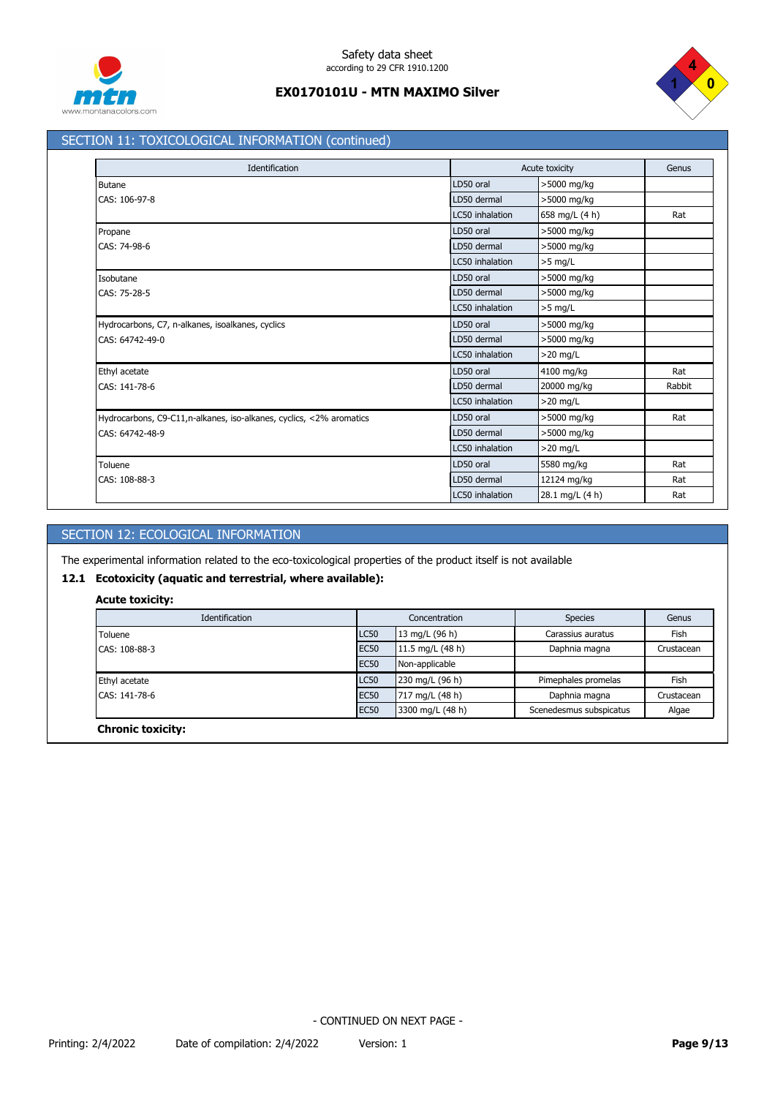



## SECTION 11: TOXICOLOGICAL INFORMATION (continued)

| Identification                                                       |                 | Acute toxicity  |        |
|----------------------------------------------------------------------|-----------------|-----------------|--------|
| <b>Butane</b>                                                        | LD50 oral       | >5000 mg/kg     |        |
| CAS: 106-97-8                                                        | LD50 dermal     | >5000 mg/kg     |        |
|                                                                      | LC50 inhalation | 658 mg/L (4 h)  | Rat    |
| Propane                                                              | LD50 oral       | >5000 mg/kg     |        |
| CAS: 74-98-6                                                         | LD50 dermal     | >5000 mg/kg     |        |
|                                                                      | LC50 inhalation | $>5$ mg/L       |        |
| Isobutane                                                            | LD50 oral       | >5000 mg/kg     |        |
| CAS: 75-28-5                                                         | LD50 dermal     | >5000 mg/kg     |        |
|                                                                      | LC50 inhalation | $>5$ mg/L       |        |
| Hydrocarbons, C7, n-alkanes, isoalkanes, cyclics                     | LD50 oral       | >5000 mg/kg     |        |
| CAS: 64742-49-0                                                      | LD50 dermal     | >5000 mg/kg     |        |
|                                                                      | LC50 inhalation | $>20$ mg/L      |        |
| Ethyl acetate                                                        | LD50 oral       | 4100 mg/kg      | Rat    |
| CAS: 141-78-6                                                        | LD50 dermal     | 20000 mg/kg     | Rabbit |
|                                                                      | LC50 inhalation | $>20$ mg/L      |        |
| Hydrocarbons, C9-C11, n-alkanes, iso-alkanes, cyclics, <2% aromatics | LD50 oral       | >5000 mg/kg     | Rat    |
| CAS: 64742-48-9                                                      | LD50 dermal     | >5000 mg/kg     |        |
|                                                                      | LC50 inhalation | $>20$ mg/L      |        |
| Toluene                                                              | LD50 oral       | 5580 mg/kg      | Rat    |
| CAS: 108-88-3                                                        | LD50 dermal     | 12124 mg/kg     | Rat    |
|                                                                      | LC50 inhalation | 28.1 mg/L (4 h) | Rat    |

## SECTION 12: ECOLOGICAL INFORMATION

The experimental information related to the eco-toxicological properties of the product itself is not available

## **12.1 Ecotoxicity (aquatic and terrestrial, where available):**

### **Acute toxicity:**

| Identification           |                  | Concentration      | <b>Species</b>          | Genus      |  |
|--------------------------|------------------|--------------------|-------------------------|------------|--|
| Toluene                  | <b>LC50</b>      | 13 mg/L $(96 h)$   | Carassius auratus       | Fish       |  |
| CAS: 108-88-3            | <b>EC50</b>      | 11.5 mg/L $(48 h)$ | Daphnia magna           | Crustacean |  |
|                          | EC <sub>50</sub> | Non-applicable     |                         |            |  |
| Ethyl acetate            | <b>LC50</b>      | 230 mg/L (96 h)    | Pimephales promelas     | Fish       |  |
| CAS: 141-78-6            | <b>EC50</b>      | 717 mg/L (48 h)    | Daphnia magna           | Crustacean |  |
|                          | EC <sub>50</sub> | 3300 mg/L (48 h)   | Scenedesmus subspicatus | Algae      |  |
| <b>Chronic toxicity:</b> |                  |                    |                         |            |  |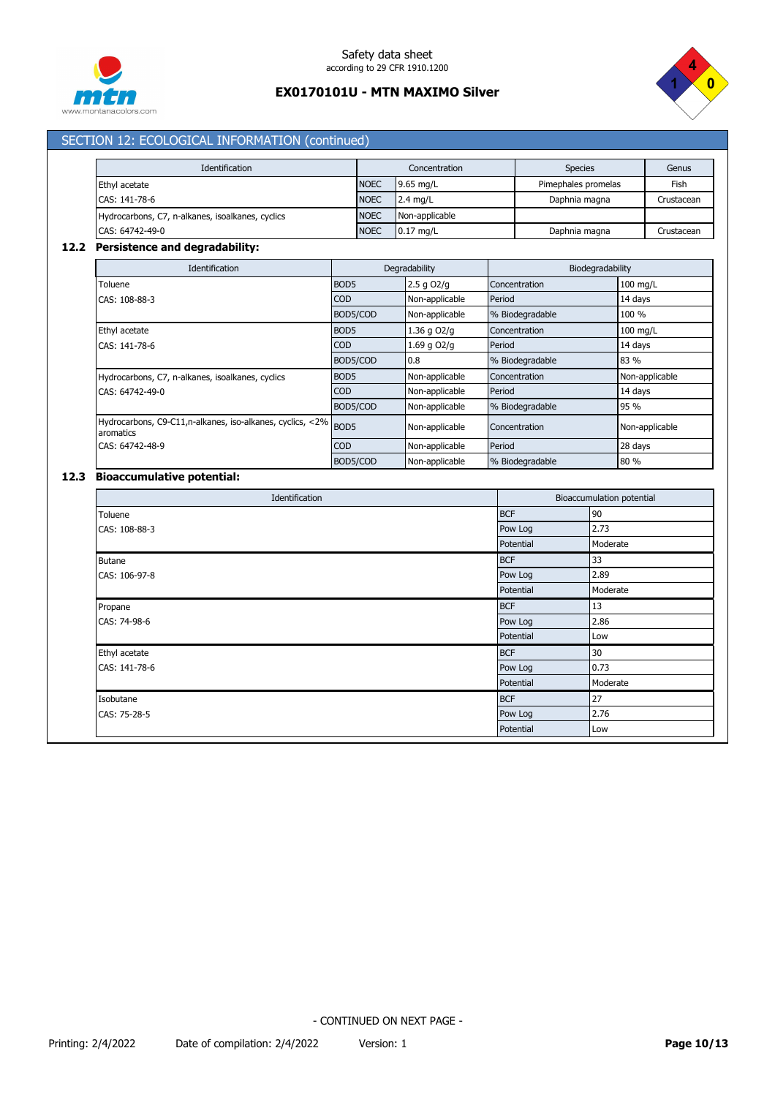



# SECTION 12: ECOLOGICAL INFORMATION (continued)

| Identification                                   |             | Concentration  | <b>Species</b>      | Genus      |
|--------------------------------------------------|-------------|----------------|---------------------|------------|
| Ethyl acetate                                    | <b>NOEC</b> | 9.65 ma/L      | Pimephales promelas | Fish       |
| CAS: 141-78-6                                    | <b>NOEC</b> | $2.4$ mg/L     | Daphnia magna       | Crustacean |
| Hydrocarbons, C7, n-alkanes, isoalkanes, cyclics | <b>NOEC</b> | Non-applicable |                     |            |
| CAS: 64742-49-0                                  | <b>NOEC</b> | $0.17$ mg/L    | Daphnia magna       | Crustacean |

## **12.2 Persistence and degradability:**

| <b>Identification</b>                                                       | Degradability    |                 | Biodegradability |                |
|-----------------------------------------------------------------------------|------------------|-----------------|------------------|----------------|
| Toluene                                                                     | BOD <sub>5</sub> | $2.5$ g $O2$ /g | Concentration    | $100$ mg/L     |
| CAS: 108-88-3                                                               | <b>COD</b>       | Non-applicable  | Period           | 14 days        |
|                                                                             | BOD5/COD         | Non-applicable  | % Biodegradable  | 100 %          |
| Ethyl acetate                                                               | BOD <sub>5</sub> | 1.36 g O2/g     | Concentration    | 100 mg/L       |
| CAS: 141-78-6                                                               | <b>COD</b>       | $1.69$ q $O2/q$ | Period           | 14 days        |
|                                                                             | BOD5/COD         | 0.8             | % Biodegradable  | 83 %           |
| Hydrocarbons, C7, n-alkanes, isoalkanes, cyclics                            | BOD <sub>5</sub> | Non-applicable  | Concentration    | Non-applicable |
| CAS: 64742-49-0                                                             | <b>COD</b>       | Non-applicable  | Period           | 14 days        |
|                                                                             | BOD5/COD         | Non-applicable  | % Biodegradable  | 95 %           |
| Hydrocarbons, C9-C11,n-alkanes, iso-alkanes, cyclics, <2% BOD5<br>aromatics |                  | Non-applicable  | Concentration    | Non-applicable |
| CAS: 64742-48-9                                                             | <b>COD</b>       | Non-applicable  | Period           | 28 days        |
|                                                                             | BOD5/COD         | Non-applicable  | % Biodegradable  | 80 %           |

## **12.3 Bioaccumulative potential:**

|               | Identification |            | Bioaccumulation potential |
|---------------|----------------|------------|---------------------------|
| Toluene       |                | <b>BCF</b> | 90                        |
| CAS: 108-88-3 |                | Pow Log    | 2.73                      |
|               |                | Potential  | Moderate                  |
| Butane        |                | <b>BCF</b> | 33                        |
| CAS: 106-97-8 |                | Pow Log    | 2.89                      |
|               |                | Potential  | Moderate                  |
| Propane       |                | <b>BCF</b> | 13                        |
| CAS: 74-98-6  |                | Pow Log    | 2.86                      |
|               |                | Potential  | Low                       |
| Ethyl acetate |                | <b>BCF</b> | 30                        |
| CAS: 141-78-6 |                | Pow Log    | 0.73                      |
|               |                | Potential  | Moderate                  |
| Isobutane     |                | <b>BCF</b> | 27                        |
| CAS: 75-28-5  |                | Pow Log    | 2.76                      |
|               |                | Potential  | Low                       |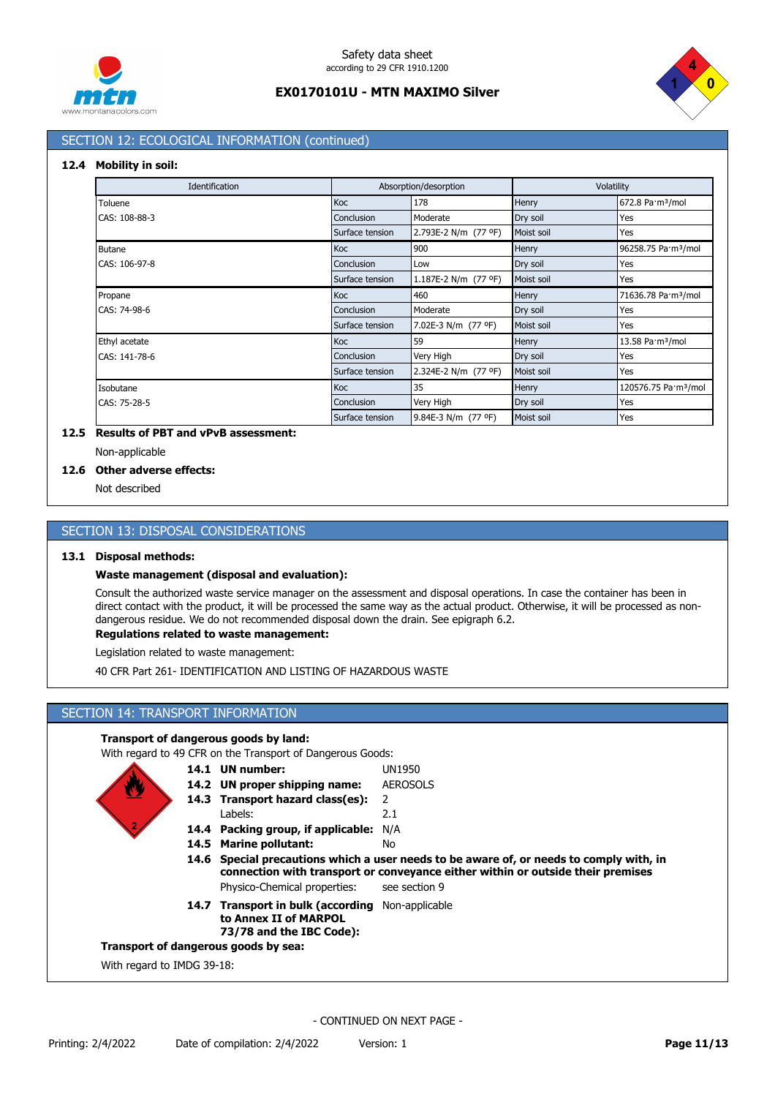



## SECTION 12: ECOLOGICAL INFORMATION (continued)

### **12.4 Mobility in soil:**

| Identification |                 | Absorption/desorption | Volatility |                                  |
|----------------|-----------------|-----------------------|------------|----------------------------------|
| Toluene        | Koc             | 178                   | Henry      | 672.8 Pa·m <sup>3</sup> /mol     |
| CAS: 108-88-3  | Conclusion      | Moderate              | Dry soil   | Yes                              |
|                | Surface tension | 2.793E-2 N/m (77 °F)  | Moist soil | Yes                              |
| <b>Butane</b>  | Koc             | 900                   | Henry      | 96258.75 Pa·m <sup>3</sup> /mol  |
| CAS: 106-97-8  | Conclusion      | Low                   | Dry soil   | Yes                              |
|                | Surface tension | 1.187E-2 N/m (77 °F)  | Moist soil | Yes                              |
| Propane        | Koc             | 460                   | Henry      | 71636.78 Pa·m <sup>3</sup> /mol  |
| CAS: 74-98-6   | Conclusion      | Moderate              | Dry soil   | Yes                              |
|                | Surface tension | 7.02E-3 N/m (77 °F)   | Moist soil | Yes                              |
| Ethyl acetate  | <b>Koc</b>      | 59                    | Henry      | 13.58 Pa·m <sup>3</sup> /mol     |
| CAS: 141-78-6  | Conclusion      | Very High             | Dry soil   | Yes                              |
|                | Surface tension | 2.324E-2 N/m (77 °F)  | Moist soil | Yes                              |
| Isobutane      | <b>Koc</b>      | 35                    | Henry      | 120576.75 Pa·m <sup>3</sup> /mol |
| CAS: 75-28-5   | Conclusion      | Very High             | Dry soil   | Yes                              |
|                | Surface tension | 9.84E-3 N/m (77 °F)   | Moist soil | Yes                              |

## **12.5 Results of PBT and vPvB assessment:**

#### Non-applicable

### **12.6 Other adverse effects:**

Not described

### SECTION 13: DISPOSAL CONSIDERATIONS

### **13.1 Disposal methods:**

### **Waste management (disposal and evaluation):**

Consult the authorized waste service manager on the assessment and disposal operations. In case the container has been in direct contact with the product, it will be processed the same way as the actual product. Otherwise, it will be processed as nondangerous residue. We do not recommended disposal down the drain. See epigraph 6.2.

### **Regulations related to waste management:**

Legislation related to waste management:

40 CFR Part 261- IDENTIFICATION AND LISTING OF HAZARDOUS WASTE

## SECTION 14: TRANSPORT INFORMATION

### **Transport of dangerous goods by land:**

With regard to 49 CFR on the Transport of Dangerous Goods:

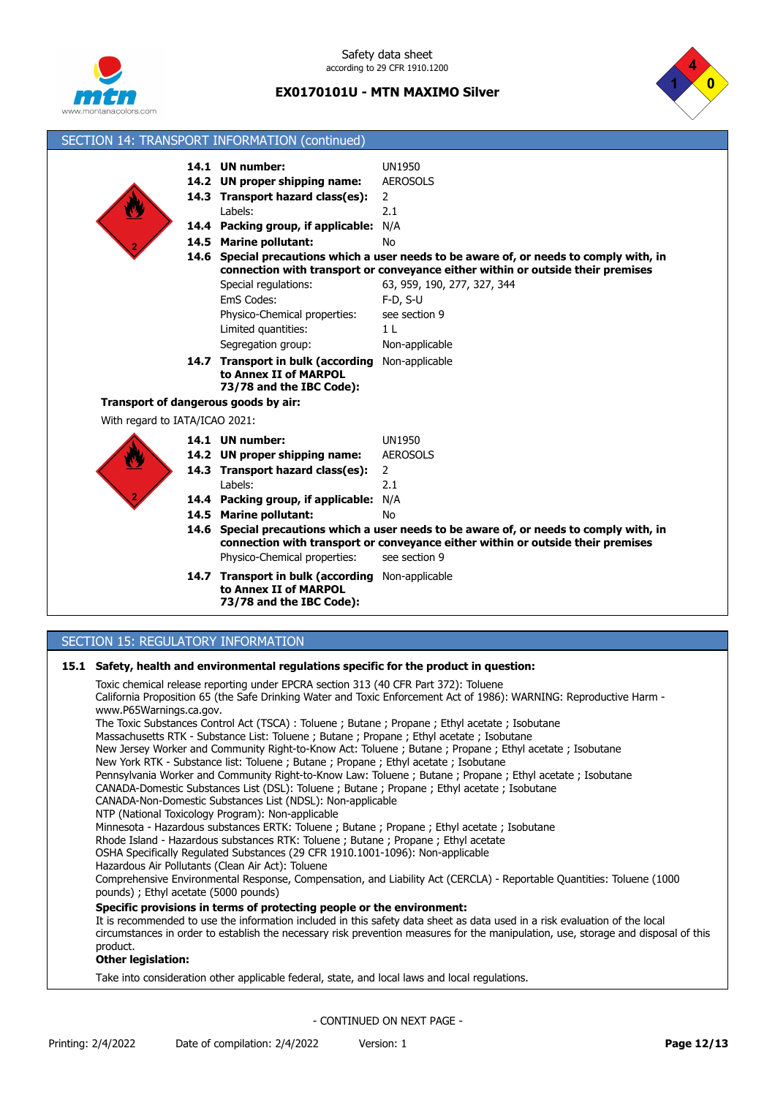

Safety data sheet according to 29 CFR 1910.1200

## **EX0170101U - MTN MAXIMO Silver**



|                                           | SECTION 14: TRANSPORT INFORMATION (continued)    |                                                                                         |
|-------------------------------------------|--------------------------------------------------|-----------------------------------------------------------------------------------------|
|                                           | 14.1 UN number:                                  | <b>UN1950</b>                                                                           |
|                                           | 14.2 UN proper shipping name:                    | <b>AEROSOLS</b>                                                                         |
|                                           | 14.3 Transport hazard class(es):                 | $\overline{2}$                                                                          |
|                                           | Labels:                                          | 2.1                                                                                     |
|                                           | 14.4 Packing group, if applicable: N/A           |                                                                                         |
|                                           | 14.5 Marine pollutant:                           | <b>No</b>                                                                               |
|                                           |                                                  | 14.6 Special precautions which a user needs to be aware of, or needs to comply with, in |
|                                           |                                                  | connection with transport or conveyance either within or outside their premises         |
|                                           | Special regulations:                             | 63, 959, 190, 277, 327, 344                                                             |
|                                           | EmS Codes:                                       | $F-D, S-U$                                                                              |
|                                           | Physico-Chemical properties:                     | see section 9                                                                           |
|                                           | Limited quantities:                              | 1 <sub>L</sub>                                                                          |
|                                           | Segregation group:                               | Non-applicable                                                                          |
|                                           | 14.7 Transport in bulk (according Non-applicable |                                                                                         |
|                                           | to Annex II of MARPOL                            |                                                                                         |
|                                           | 73/78 and the IBC Code):                         |                                                                                         |
|                                           | Transport of dangerous goods by air:             |                                                                                         |
| With regard to IATA/ICAO 2021:            |                                                  |                                                                                         |
|                                           | 14.1 UN number:                                  | <b>UN1950</b>                                                                           |
|                                           | 14.2 UN proper shipping name:                    | <b>AEROSOLS</b>                                                                         |
|                                           | 14.3 Transport hazard class(es):                 | $\overline{2}$                                                                          |
|                                           | Labels:                                          | 2.1                                                                                     |
|                                           | 14.4 Packing group, if applicable: N/A           |                                                                                         |
|                                           | 14.5 Marine pollutant:                           | No                                                                                      |
|                                           |                                                  | 14.6 Special precautions which a user needs to be aware of, or needs to comply with, in |
|                                           |                                                  | connection with transport or conveyance either within or outside their premises         |
|                                           | Physico-Chemical properties:                     | see section 9                                                                           |
|                                           | 14.7 Transport in bulk (according Non-applicable |                                                                                         |
|                                           | to Annex II of MARPOL                            |                                                                                         |
|                                           | 73/78 and the IBC Code):                         |                                                                                         |
|                                           |                                                  |                                                                                         |
| <b>SECTION 15: REGULATORY INFORMATION</b> |                                                  |                                                                                         |

# **15.1 Safety, health and environmental regulations specific for the product in question:**

| Safety, nealth and environmental requiations specific for the product in question:<br>Toxic chemical release reporting under EPCRA section 313 (40 CFR Part 372): Toluene<br>California Proposition 65 (the Safe Drinking Water and Toxic Enforcement Act of 1986): WARNING: Reproductive Harm -<br>www.P65Warnings.ca.gov.<br>The Toxic Substances Control Act (TSCA): Toluene; Butane; Propane; Ethyl acetate; Isobutane<br>Massachusetts RTK - Substance List: Toluene ; Butane ; Propane ; Ethyl acetate ; Isobutane<br>New Jersey Worker and Community Right-to-Know Act: Toluene; Butane; Propane; Ethyl acetate; Isobutane<br>New York RTK - Substance list: Toluene ; Butane ; Propane ; Ethyl acetate ; Isobutane<br>Pennsylvania Worker and Community Right-to-Know Law: Toluene; Butane; Propane; Ethyl acetate; Isobutane<br>CANADA-Domestic Substances List (DSL): Toluene ; Butane ; Propane ; Ethyl acetate ; Isobutane |
|----------------------------------------------------------------------------------------------------------------------------------------------------------------------------------------------------------------------------------------------------------------------------------------------------------------------------------------------------------------------------------------------------------------------------------------------------------------------------------------------------------------------------------------------------------------------------------------------------------------------------------------------------------------------------------------------------------------------------------------------------------------------------------------------------------------------------------------------------------------------------------------------------------------------------------------|
| CANADA-Non-Domestic Substances List (NDSL): Non-applicable<br>NTP (National Toxicology Program): Non-applicable<br>Minnesota - Hazardous substances ERTK: Toluene; Butane; Propane; Ethyl acetate; Isobutane<br>Rhode Island - Hazardous substances RTK: Toluene ; Butane ; Propane ; Ethyl acetate<br>OSHA Specifically Regulated Substances (29 CFR 1910.1001-1096): Non-applicable<br>Hazardous Air Pollutants (Clean Air Act): Toluene<br>Comprehensive Environmental Response, Compensation, and Liability Act (CERCLA) - Reportable Quantities: Toluene (1000<br>pounds); Ethyl acetate (5000 pounds)                                                                                                                                                                                                                                                                                                                            |
| Specific provisions in terms of protecting people or the environment:<br>It is recommended to use the information included in this safety data sheet as data used in a risk evaluation of the local<br>circumstances in order to establish the necessary risk prevention measures for the manipulation, use, storage and disposal of this<br>product.<br><b>Other legislation:</b>                                                                                                                                                                                                                                                                                                                                                                                                                                                                                                                                                     |
| Take into consideration other annlicable federal state, and local laws and local requisions                                                                                                                                                                                                                                                                                                                                                                                                                                                                                                                                                                                                                                                                                                                                                                                                                                            |

Take into consideration other applicable federal, state, and local laws and local regulations.